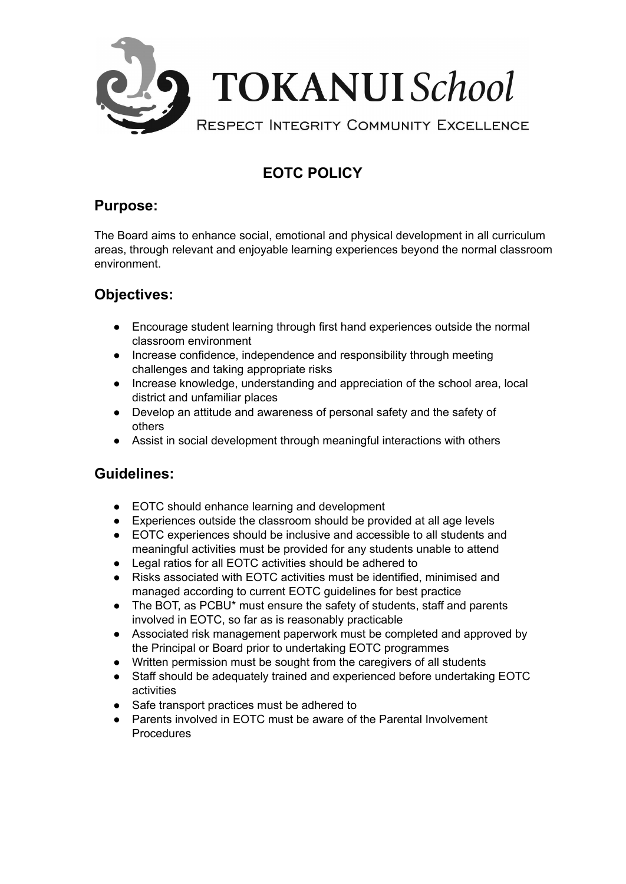

# **EOTC POLICY**

#### **Purpose:**

The Board aims to enhance social, emotional and physical development in all curriculum areas, through relevant and enjoyable learning experiences beyond the normal classroom environment.

## **Objectives:**

- Encourage student learning through first hand experiences outside the normal classroom environment
- Increase confidence, independence and responsibility through meeting challenges and taking appropriate risks
- Increase knowledge, understanding and appreciation of the school area, local district and unfamiliar places
- Develop an attitude and awareness of personal safety and the safety of others
- Assist in social development through meaningful interactions with others

### **Guidelines:**

- EOTC should enhance learning and development
- Experiences outside the classroom should be provided at all age levels
- EOTC experiences should be inclusive and accessible to all students and meaningful activities must be provided for any students unable to attend
- Legal ratios for all EOTC activities should be adhered to
- Risks associated with EOTC activities must be identified, minimised and managed according to current EOTC guidelines for best practice
- The BOT, as PCBU\* must ensure the safety of students, staff and parents involved in EOTC, so far as is reasonably practicable
- Associated risk management paperwork must be completed and approved by the Principal or Board prior to undertaking EOTC programmes
- Written permission must be sought from the caregivers of all students
- Staff should be adequately trained and experienced before undertaking EOTC activities
- Safe transport practices must be adhered to
- Parents involved in EOTC must be aware of the Parental Involvement **Procedures**